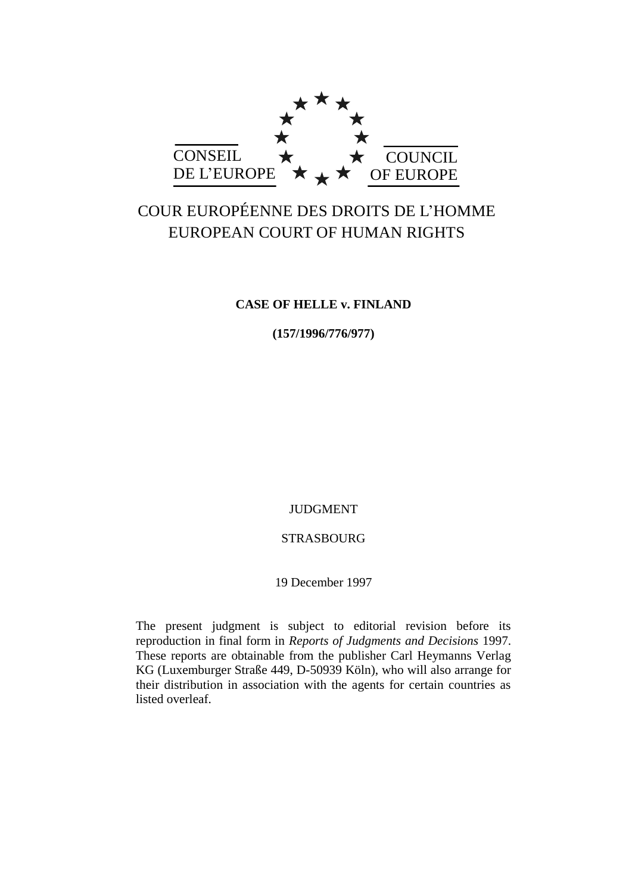

# COUR EUROPÉENNE DES DROITS DE L'HOMME EUROPEAN COURT OF HUMAN RIGHTS

# **CASE OF HELLE v. FINLAND**

**(157/1996/776/977)**

JUDGMENT

# STRASBOURG

19 December 1997

The present judgment is subject to editorial revision before its reproduction in final form in *Reports of Judgments and Decisions* 1997. These reports are obtainable from the publisher Carl Heymanns Verlag KG (Luxemburger Straße 449, D-50939 Köln), who will also arrange for their distribution in association with the agents for certain countries as listed overleaf.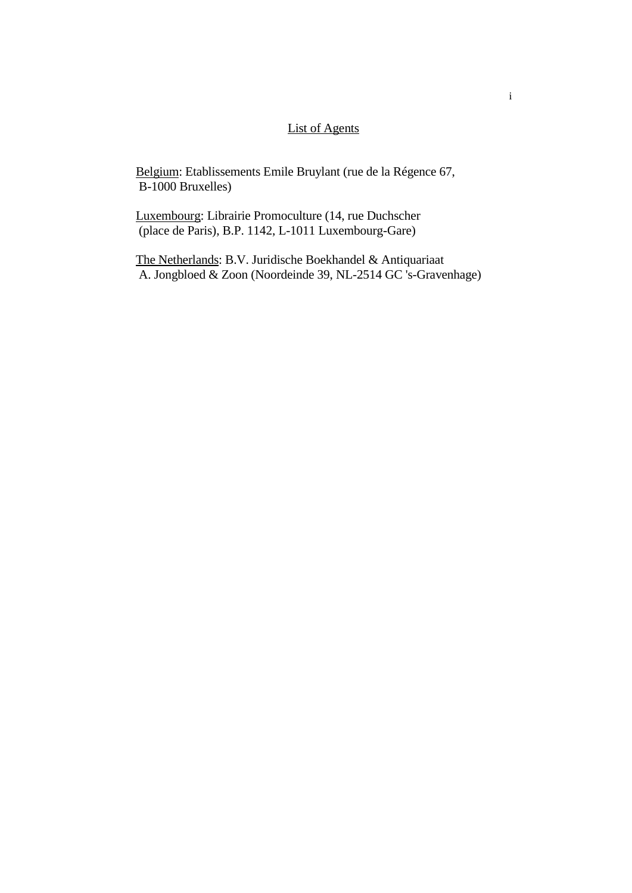# List of Agents

Belgium: Etablissements Emile Bruylant (rue de la Régence 67, B-1000 Bruxelles)

Luxembourg: Librairie Promoculture (14, rue Duchscher (place de Paris), B.P. 1142, L-1011 Luxembourg-Gare)

The Netherlands: B.V. Juridische Boekhandel & Antiquariaat A. Jongbloed  $\&$  Zoon (Noordeinde 39, NL-2514 GC 's-Gravenhage)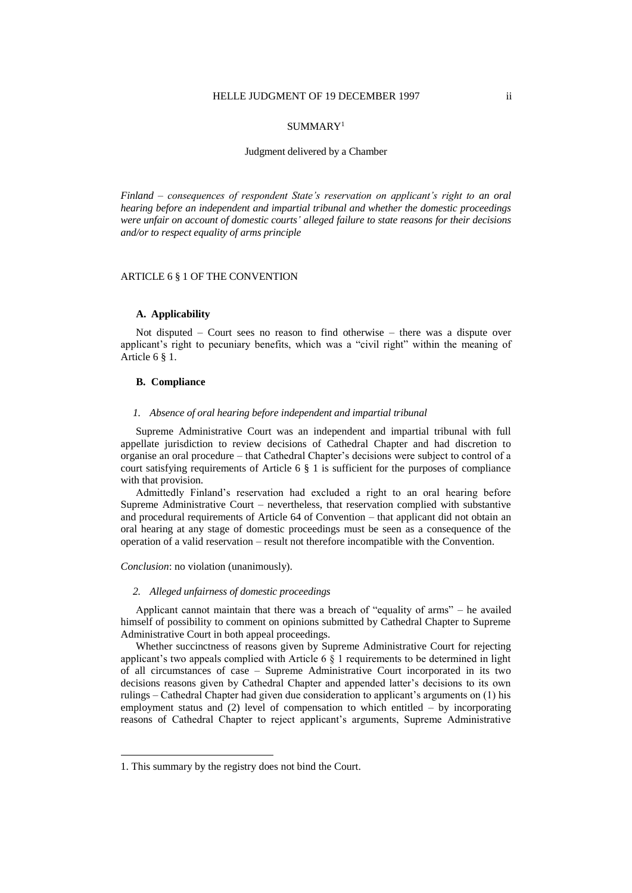#### SUMMARY<sup>1</sup>

#### Judgment delivered by a Chamber

*Finland – consequences of respondent State's reservation on applicant's right to an oral hearing before an independent and impartial tribunal and whether the domestic proceedings were unfair on account of domestic courts' alleged failure to state reasons for their decisions and/or to respect equality of arms principle*

#### ARTICLE 6 § 1 OF THE CONVENTION

#### **A. Applicability**

Not disputed – Court sees no reason to find otherwise – there was a dispute over applicant's right to pecuniary benefits, which was a "civil right" within the meaning of Article 6 § 1.

#### **B. Compliance**

#### *1. Absence of oral hearing before independent and impartial tribunal*

Supreme Administrative Court was an independent and impartial tribunal with full appellate jurisdiction to review decisions of Cathedral Chapter and had discretion to organise an oral procedure – that Cathedral Chapter's decisions were subject to control of a court satisfying requirements of Article  $6 \S 1$  is sufficient for the purposes of compliance with that provision.

Admittedly Finland's reservation had excluded a right to an oral hearing before Supreme Administrative Court – nevertheless, that reservation complied with substantive and procedural requirements of Article 64 of Convention – that applicant did not obtain an oral hearing at any stage of domestic proceedings must be seen as a consequence of the operation of a valid reservation – result not therefore incompatible with the Convention.

*Conclusion*: no violation (unanimously).

#### *2. Alleged unfairness of domestic proceedings*

Applicant cannot maintain that there was a breach of "equality of arms" – he availed himself of possibility to comment on opinions submitted by Cathedral Chapter to Supreme Administrative Court in both appeal proceedings.

Whether succinctness of reasons given by Supreme Administrative Court for rejecting applicant's two appeals complied with Article 6  $\S$  1 requirements to be determined in light of all circumstances of case – Supreme Administrative Court incorporated in its two decisions reasons given by Cathedral Chapter and appended latter's decisions to its own rulings – Cathedral Chapter had given due consideration to applicant's arguments on (1) his employment status and (2) level of compensation to which entitled – by incorporating reasons of Cathedral Chapter to reject applicant's arguments, Supreme Administrative

 $\overline{a}$ 

<sup>1.</sup> This summary by the registry does not bind the Court.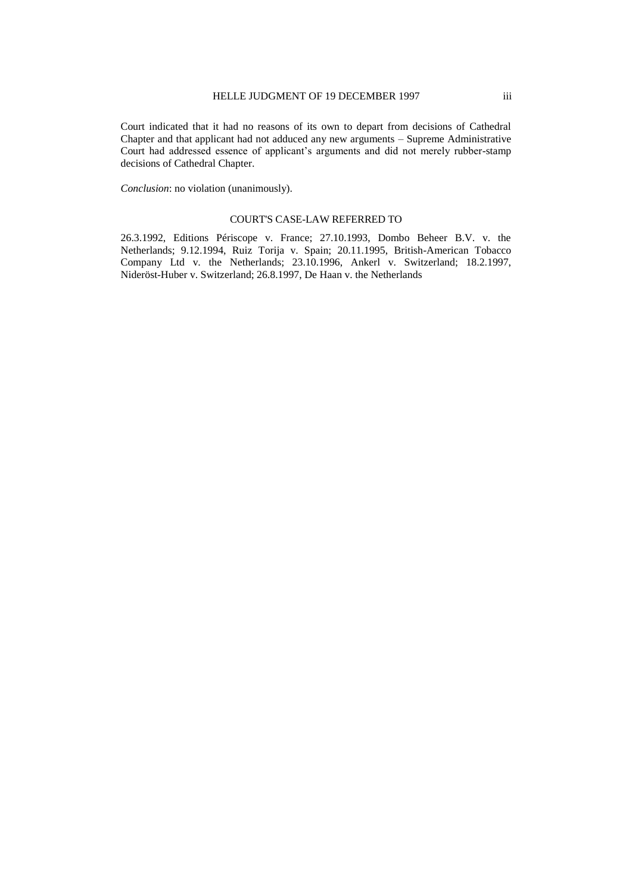Court indicated that it had no reasons of its own to depart from decisions of Cathedral Chapter and that applicant had not adduced any new arguments – Supreme Administrative Court had addressed essence of applicant's arguments and did not merely rubber-stamp decisions of Cathedral Chapter.

*Conclusion*: no violation (unanimously).

#### COURT'S CASE-LAW REFERRED TO

26.3.1992, Editions Périscope v. France; 27.10.1993, Dombo Beheer B.V. v. the Netherlands; 9.12.1994, Ruiz Torija v. Spain; 20.11.1995, British-American Tobacco Company Ltd v. the Netherlands; 23.10.1996, Ankerl v. Switzerland; 18.2.1997, Nideröst-Huber v. Switzerland; 26.8.1997, De Haan v. the Netherlands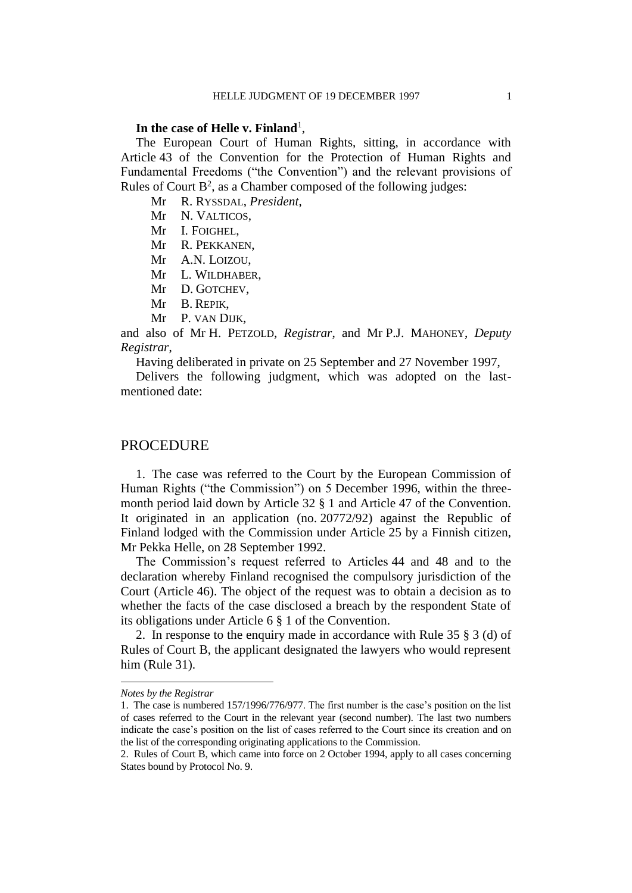# In the case of Helle v. Finland<sup>1</sup>,

The European Court of Human Rights, sitting, in accordance with Article 43 of the Convention for the Protection of Human Rights and Fundamental Freedoms ("the Convention") and the relevant provisions of Rules of Court  $B^2$ , as a Chamber composed of the following judges:

Mr R. RYSSDAL, *President*,

Mr N. VALTICOS.

Mr I. FOIGHEL,

Mr R. PEKKANEN,

Mr A.N. LOIZOU,

Mr L. WILDHABER,

- Mr D. GOTCHEV,
- Mr B. REPIK,
- Mr P. VAN DIJK,

and also of Mr H. PETZOLD, *Registrar*, and Mr P.J. MAHONEY, *Deputy Registrar*,

Having deliberated in private on 25 September and 27 November 1997,

Delivers the following judgment, which was adopted on the lastmentioned date:

### **PROCEDURE**

1. The case was referred to the Court by the European Commission of Human Rights ("the Commission") on 5 December 1996, within the threemonth period laid down by Article 32 § 1 and Article 47 of the Convention. It originated in an application (no. 20772/92) against the Republic of Finland lodged with the Commission under Article 25 by a Finnish citizen, Mr Pekka Helle, on 28 September 1992.

The Commission's request referred to Articles 44 and 48 and to the declaration whereby Finland recognised the compulsory jurisdiction of the Court (Article 46). The object of the request was to obtain a decision as to whether the facts of the case disclosed a breach by the respondent State of its obligations under Article 6 § 1 of the Convention.

2. In response to the enquiry made in accordance with Rule 35 § 3 (d) of Rules of Court B, the applicant designated the lawyers who would represent him (Rule 31).

 $\overline{a}$ 

*Notes by the Registrar*

<sup>1.</sup> The case is numbered 157/1996/776/977. The first number is the case's position on the list of cases referred to the Court in the relevant year (second number). The last two numbers indicate the case's position on the list of cases referred to the Court since its creation and on the list of the corresponding originating applications to the Commission.

<sup>2.</sup> Rules of Court B, which came into force on 2 October 1994, apply to all cases concerning States bound by Protocol No. 9.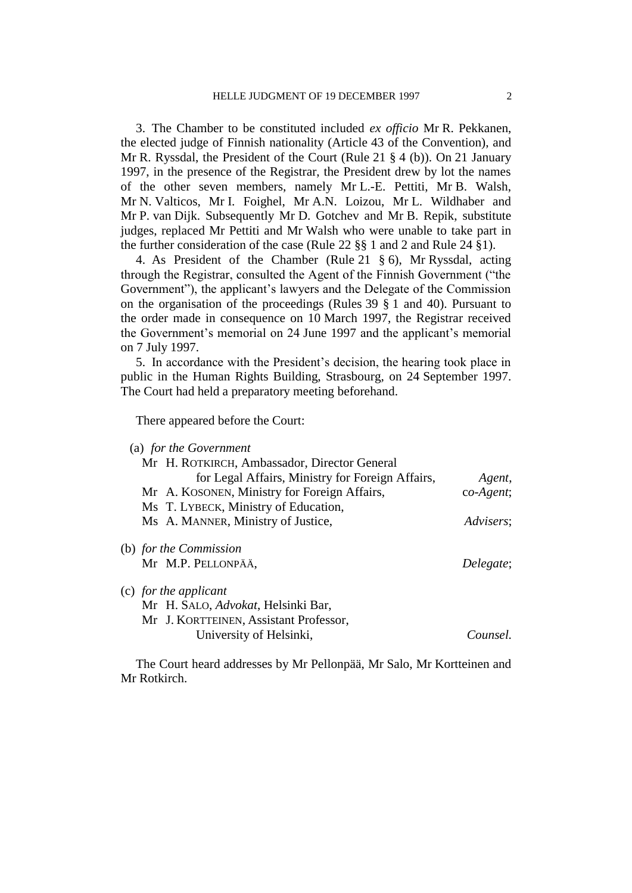3. The Chamber to be constituted included *ex officio* Mr R. Pekkanen, the elected judge of Finnish nationality (Article 43 of the Convention), and Mr R. Ryssdal, the President of the Court (Rule 21 § 4 (b)). On 21 January 1997, in the presence of the Registrar, the President drew by lot the names of the other seven members, namely Mr L.-E. Pettiti, Mr B. Walsh, Mr N. Valticos, Mr I. Foighel, Mr A.N. Loizou, Mr L. Wildhaber and Mr P. van Dijk. Subsequently Mr D. Gotchev and Mr B. Repik, substitute judges, replaced Mr Pettiti and Mr Walsh who were unable to take part in the further consideration of the case (Rule 22 §§ 1 and 2 and Rule 24 §1).

4. As President of the Chamber (Rule 21 § 6), Mr Ryssdal, acting through the Registrar, consulted the Agent of the Finnish Government ("the Government"), the applicant's lawyers and the Delegate of the Commission on the organisation of the proceedings (Rules 39 § 1 and 40). Pursuant to the order made in consequence on 10 March 1997, the Registrar received the Government's memorial on 24 June 1997 and the applicant's memorial on 7 July 1997.

5. In accordance with the President's decision, the hearing took place in public in the Human Rights Building, Strasbourg, on 24 September 1997. The Court had held a preparatory meeting beforehand.

There appeared before the Court:

| (a) for the Government                           |             |
|--------------------------------------------------|-------------|
| Mr H. ROTKIRCH, Ambassador, Director General     |             |
| for Legal Affairs, Ministry for Foreign Affairs, | Agent,      |
| Mr A. KOSONEN, Ministry for Foreign Affairs,     | $co-Agent;$ |
| Ms T. LYBECK, Ministry of Education,             |             |
| Ms A. MANNER, Ministry of Justice,               | Advisers;   |
| (b) for the Commission                           |             |
| Mr M.P. PELLONPÄÄ,                               | Delegate;   |
| (c) for the applicant                            |             |
| Mr H. SALO, Advokat, Helsinki Bar,               |             |
| Mr J. KORTTEINEN, Assistant Professor,           |             |
| University of Helsinki,                          | Counsel.    |

The Court heard addresses by Mr Pellonpää, Mr Salo, Mr Kortteinen and Mr Rotkirch.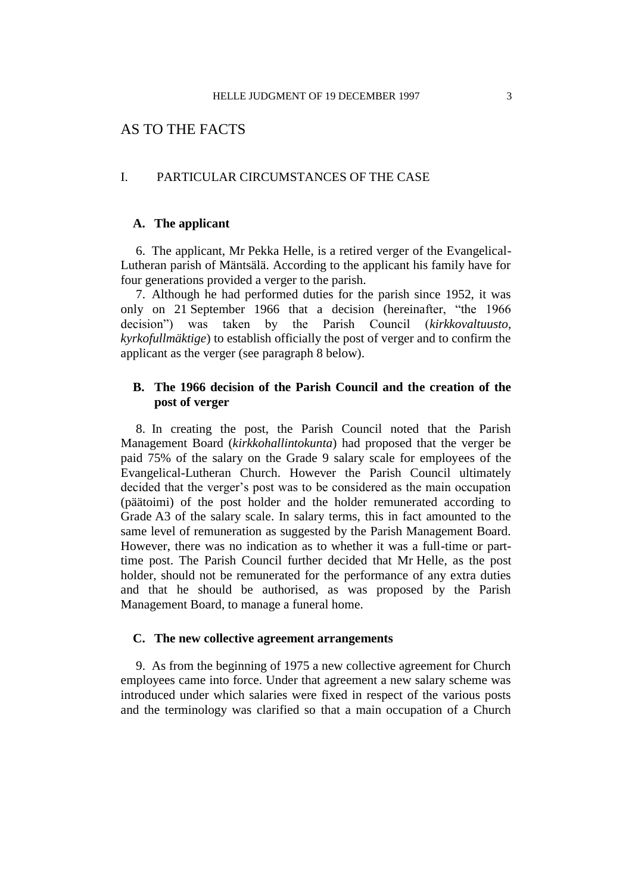# AS TO THE FACTS

### I. PARTICULAR CIRCUMSTANCES OF THE CASE

# **A. The applicant**

6. The applicant, Mr Pekka Helle, is a retired verger of the Evangelical-Lutheran parish of Mäntsälä. According to the applicant his family have for four generations provided a verger to the parish.

7. Although he had performed duties for the parish since 1952, it was only on 21 September 1966 that a decision (hereinafter, "the 1966 decision") was taken by the Parish Council (*kirkkovaltuusto*, *kyrkofullmäktige*) to establish officially the post of verger and to confirm the applicant as the verger (see paragraph 8 below).

# **B. The 1966 decision of the Parish Council and the creation of the post of verger**

8. In creating the post, the Parish Council noted that the Parish Management Board (*kirkkohallintokunta*) had proposed that the verger be paid 75% of the salary on the Grade 9 salary scale for employees of the Evangelical-Lutheran Church. However the Parish Council ultimately decided that the verger's post was to be considered as the main occupation (päätoimi) of the post holder and the holder remunerated according to Grade A3 of the salary scale. In salary terms, this in fact amounted to the same level of remuneration as suggested by the Parish Management Board. However, there was no indication as to whether it was a full-time or parttime post. The Parish Council further decided that Mr Helle, as the post holder, should not be remunerated for the performance of any extra duties and that he should be authorised, as was proposed by the Parish Management Board, to manage a funeral home.

# **C. The new collective agreement arrangements**

9. As from the beginning of 1975 a new collective agreement for Church employees came into force. Under that agreement a new salary scheme was introduced under which salaries were fixed in respect of the various posts and the terminology was clarified so that a main occupation of a Church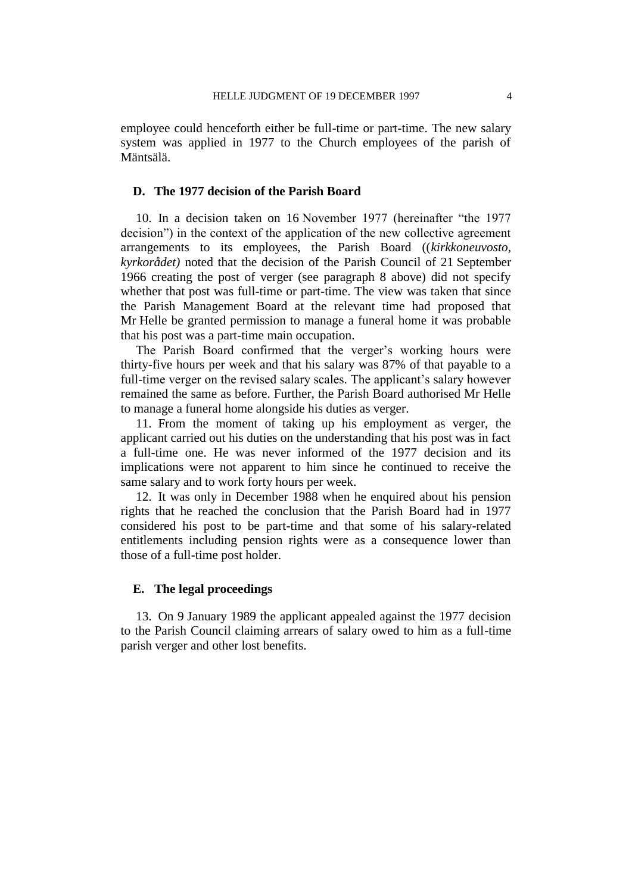employee could henceforth either be full-time or part-time. The new salary system was applied in 1977 to the Church employees of the parish of Mäntsälä.

# **D. The 1977 decision of the Parish Board**

10. In a decision taken on 16 November 1977 (hereinafter "the 1977 decision") in the context of the application of the new collective agreement arrangements to its employees, the Parish Board ((*kirkkoneuvosto, kyrkorådet)* noted that the decision of the Parish Council of 21 September 1966 creating the post of verger (see paragraph 8 above) did not specify whether that post was full-time or part-time. The view was taken that since the Parish Management Board at the relevant time had proposed that Mr Helle be granted permission to manage a funeral home it was probable that his post was a part-time main occupation.

The Parish Board confirmed that the verger's working hours were thirty-five hours per week and that his salary was 87% of that payable to a full-time verger on the revised salary scales. The applicant's salary however remained the same as before. Further, the Parish Board authorised Mr Helle to manage a funeral home alongside his duties as verger.

11. From the moment of taking up his employment as verger, the applicant carried out his duties on the understanding that his post was in fact a full-time one. He was never informed of the 1977 decision and its implications were not apparent to him since he continued to receive the same salary and to work forty hours per week.

12. It was only in December 1988 when he enquired about his pension rights that he reached the conclusion that the Parish Board had in 1977 considered his post to be part-time and that some of his salary-related entitlements including pension rights were as a consequence lower than those of a full-time post holder.

# **E. The legal proceedings**

13. On 9 January 1989 the applicant appealed against the 1977 decision to the Parish Council claiming arrears of salary owed to him as a full-time parish verger and other lost benefits.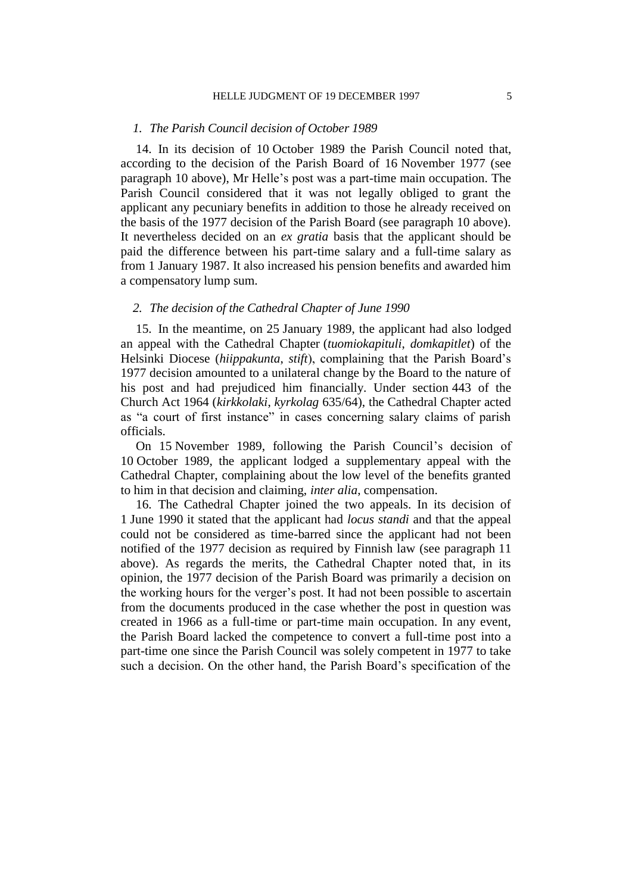#### *1. The Parish Council decision of October 1989*

14. In its decision of 10 October 1989 the Parish Council noted that, according to the decision of the Parish Board of 16 November 1977 (see paragraph 10 above), Mr Helle's post was a part-time main occupation. The Parish Council considered that it was not legally obliged to grant the applicant any pecuniary benefits in addition to those he already received on the basis of the 1977 decision of the Parish Board (see paragraph 10 above). It nevertheless decided on an *ex gratia* basis that the applicant should be paid the difference between his part-time salary and a full-time salary as from 1 January 1987. It also increased his pension benefits and awarded him a compensatory lump sum.

# *2. The decision of the Cathedral Chapter of June 1990*

15. In the meantime, on 25 January 1989, the applicant had also lodged an appeal with the Cathedral Chapter (*tuomiokapituli*, *domkapitlet*) of the Helsinki Diocese (*hiippakunta*, *stift*), complaining that the Parish Board's 1977 decision amounted to a unilateral change by the Board to the nature of his post and had prejudiced him financially. Under section 443 of the Church Act 1964 (*kirkkolaki*, *kyrkolag* 635/64), the Cathedral Chapter acted as "a court of first instance" in cases concerning salary claims of parish officials.

On 15 November 1989, following the Parish Council's decision of 10 October 1989, the applicant lodged a supplementary appeal with the Cathedral Chapter, complaining about the low level of the benefits granted to him in that decision and claiming, *inter alia*, compensation.

16. The Cathedral Chapter joined the two appeals. In its decision of 1 June 1990 it stated that the applicant had *locus standi* and that the appeal could not be considered as time-barred since the applicant had not been notified of the 1977 decision as required by Finnish law (see paragraph 11 above). As regards the merits, the Cathedral Chapter noted that, in its opinion, the 1977 decision of the Parish Board was primarily a decision on the working hours for the verger's post. It had not been possible to ascertain from the documents produced in the case whether the post in question was created in 1966 as a full-time or part-time main occupation. In any event, the Parish Board lacked the competence to convert a full-time post into a part-time one since the Parish Council was solely competent in 1977 to take such a decision. On the other hand, the Parish Board's specification of the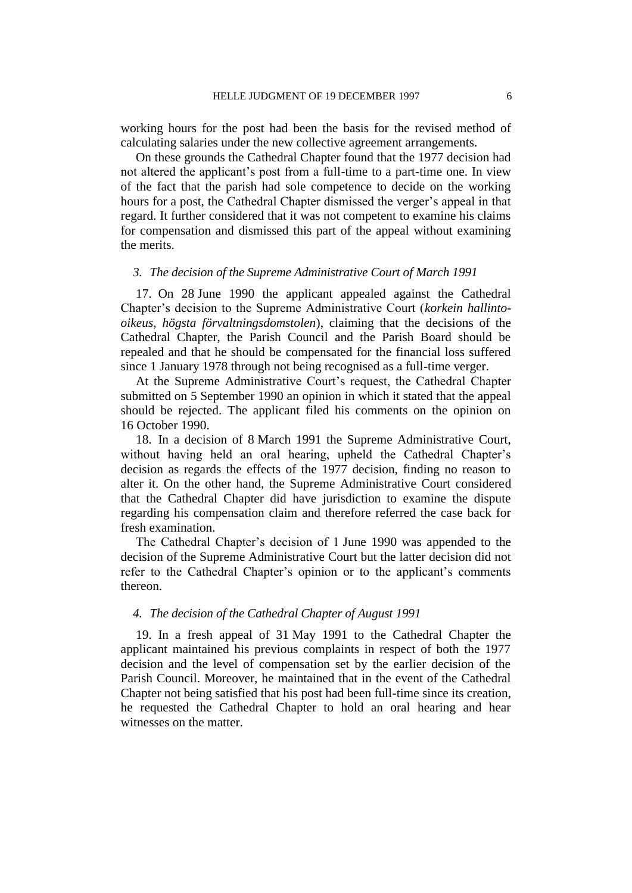working hours for the post had been the basis for the revised method of calculating salaries under the new collective agreement arrangements.

On these grounds the Cathedral Chapter found that the 1977 decision had not altered the applicant's post from a full-time to a part-time one. In view of the fact that the parish had sole competence to decide on the working hours for a post, the Cathedral Chapter dismissed the verger's appeal in that regard. It further considered that it was not competent to examine his claims for compensation and dismissed this part of the appeal without examining the merits.

### *3. The decision of the Supreme Administrative Court of March 1991*

17. On 28 June 1990 the applicant appealed against the Cathedral Chapter's decision to the Supreme Administrative Court (*korkein hallintooikeus*, *högsta förvaltningsdomstolen*), claiming that the decisions of the Cathedral Chapter, the Parish Council and the Parish Board should be repealed and that he should be compensated for the financial loss suffered since 1 January 1978 through not being recognised as a full-time verger.

At the Supreme Administrative Court's request, the Cathedral Chapter submitted on 5 September 1990 an opinion in which it stated that the appeal should be rejected. The applicant filed his comments on the opinion on 16 October 1990.

18. In a decision of 8 March 1991 the Supreme Administrative Court, without having held an oral hearing, upheld the Cathedral Chapter's decision as regards the effects of the 1977 decision, finding no reason to alter it. On the other hand, the Supreme Administrative Court considered that the Cathedral Chapter did have jurisdiction to examine the dispute regarding his compensation claim and therefore referred the case back for fresh examination.

The Cathedral Chapter's decision of 1 June 1990 was appended to the decision of the Supreme Administrative Court but the latter decision did not refer to the Cathedral Chapter's opinion or to the applicant's comments thereon.

### *4. The decision of the Cathedral Chapter of August 1991*

19. In a fresh appeal of 31 May 1991 to the Cathedral Chapter the applicant maintained his previous complaints in respect of both the 1977 decision and the level of compensation set by the earlier decision of the Parish Council. Moreover, he maintained that in the event of the Cathedral Chapter not being satisfied that his post had been full-time since its creation, he requested the Cathedral Chapter to hold an oral hearing and hear witnesses on the matter.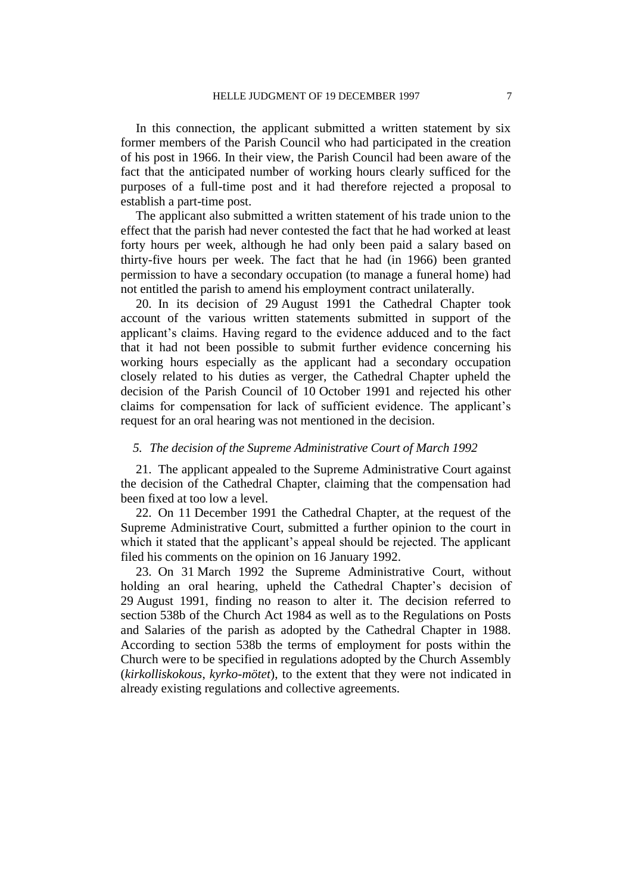In this connection, the applicant submitted a written statement by six former members of the Parish Council who had participated in the creation of his post in 1966. In their view, the Parish Council had been aware of the fact that the anticipated number of working hours clearly sufficed for the purposes of a full-time post and it had therefore rejected a proposal to establish a part-time post.

The applicant also submitted a written statement of his trade union to the effect that the parish had never contested the fact that he had worked at least forty hours per week, although he had only been paid a salary based on thirty-five hours per week. The fact that he had (in 1966) been granted permission to have a secondary occupation (to manage a funeral home) had not entitled the parish to amend his employment contract unilaterally.

20. In its decision of 29 August 1991 the Cathedral Chapter took account of the various written statements submitted in support of the applicant's claims. Having regard to the evidence adduced and to the fact that it had not been possible to submit further evidence concerning his working hours especially as the applicant had a secondary occupation closely related to his duties as verger, the Cathedral Chapter upheld the decision of the Parish Council of 10 October 1991 and rejected his other claims for compensation for lack of sufficient evidence. The applicant's request for an oral hearing was not mentioned in the decision.

# *5. The decision of the Supreme Administrative Court of March 1992*

21. The applicant appealed to the Supreme Administrative Court against the decision of the Cathedral Chapter, claiming that the compensation had been fixed at too low a level.

22. On 11 December 1991 the Cathedral Chapter, at the request of the Supreme Administrative Court, submitted a further opinion to the court in which it stated that the applicant's appeal should be rejected. The applicant filed his comments on the opinion on 16 January 1992.

23. On 31 March 1992 the Supreme Administrative Court, without holding an oral hearing, upheld the Cathedral Chapter's decision of 29 August 1991, finding no reason to alter it. The decision referred to section 538b of the Church Act 1984 as well as to the Regulations on Posts and Salaries of the parish as adopted by the Cathedral Chapter in 1988. According to section 538b the terms of employment for posts within the Church were to be specified in regulations adopted by the Church Assembly (*kirkolliskokous*, *kyrko-mötet*), to the extent that they were not indicated in already existing regulations and collective agreements.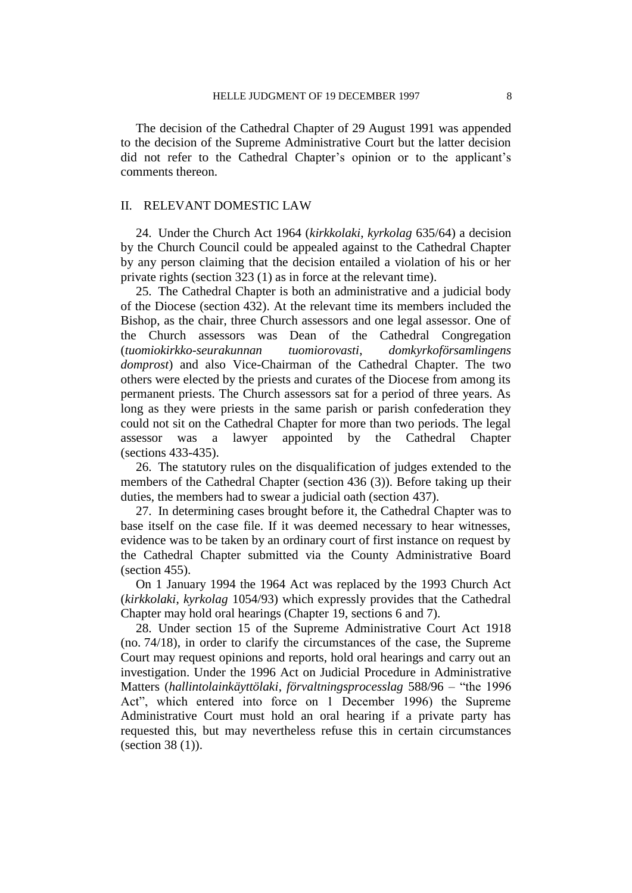The decision of the Cathedral Chapter of 29 August 1991 was appended to the decision of the Supreme Administrative Court but the latter decision did not refer to the Cathedral Chapter's opinion or to the applicant's comments thereon.

### II. RELEVANT DOMESTIC LAW

24. Under the Church Act 1964 (*kirkkolaki*, *kyrkolag* 635/64) a decision by the Church Council could be appealed against to the Cathedral Chapter by any person claiming that the decision entailed a violation of his or her private rights (section 323 (1) as in force at the relevant time).

25. The Cathedral Chapter is both an administrative and a judicial body of the Diocese (section 432). At the relevant time its members included the Bishop, as the chair, three Church assessors and one legal assessor. One of the Church assessors was Dean of the Cathedral Congregation (*tuomiokirkko-seurakunnan tuomiorovasti*, *domkyrkoförsamlingens domprost*) and also Vice-Chairman of the Cathedral Chapter. The two others were elected by the priests and curates of the Diocese from among its permanent priests. The Church assessors sat for a period of three years. As long as they were priests in the same parish or parish confederation they could not sit on the Cathedral Chapter for more than two periods. The legal assessor was a lawyer appointed by the Cathedral Chapter (sections 433-435).

26. The statutory rules on the disqualification of judges extended to the members of the Cathedral Chapter (section 436 (3)). Before taking up their duties, the members had to swear a judicial oath (section 437).

27. In determining cases brought before it, the Cathedral Chapter was to base itself on the case file. If it was deemed necessary to hear witnesses, evidence was to be taken by an ordinary court of first instance on request by the Cathedral Chapter submitted via the County Administrative Board (section 455).

On 1 January 1994 the 1964 Act was replaced by the 1993 Church Act (*kirkkolaki*, *kyrkolag* 1054/93) which expressly provides that the Cathedral Chapter may hold oral hearings (Chapter 19, sections 6 and 7).

28. Under section 15 of the Supreme Administrative Court Act 1918 (no. 74/18), in order to clarify the circumstances of the case, the Supreme Court may request opinions and reports, hold oral hearings and carry out an investigation. Under the 1996 Act on Judicial Procedure in Administrative Matters (*hallintolainkäyttölaki*, *förvaltningsprocesslag* 588/96 – "the 1996 Act", which entered into force on 1 December 1996) the Supreme Administrative Court must hold an oral hearing if a private party has requested this, but may nevertheless refuse this in certain circumstances (section 38 (1)).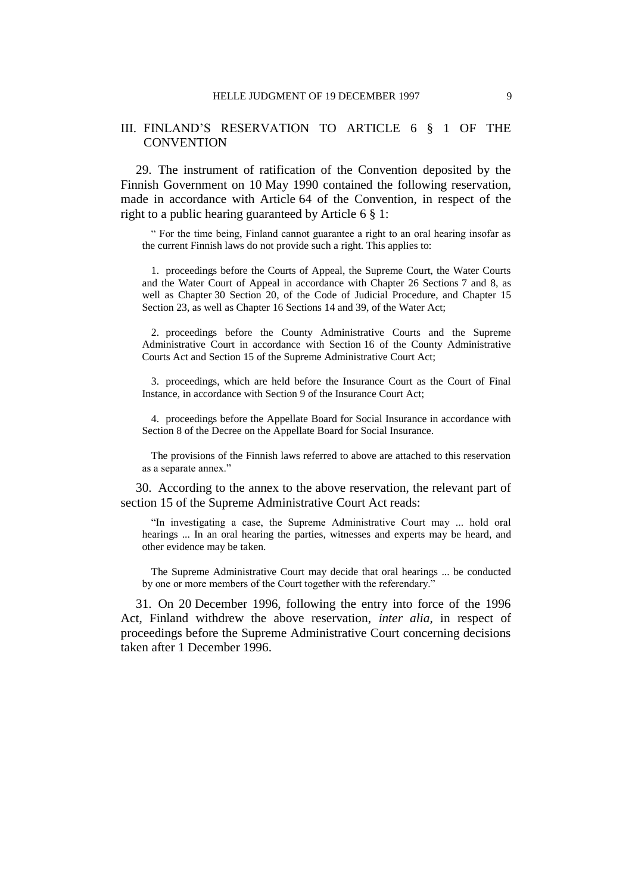# III. FINLAND'S RESERVATION TO ARTICLE 6 § 1 OF THE **CONVENTION**

29. The instrument of ratification of the Convention deposited by the Finnish Government on 10 May 1990 contained the following reservation, made in accordance with Article 64 of the Convention, in respect of the right to a public hearing guaranteed by Article 6 § 1:

" For the time being, Finland cannot guarantee a right to an oral hearing insofar as the current Finnish laws do not provide such a right. This applies to:

1. proceedings before the Courts of Appeal, the Supreme Court, the Water Courts and the Water Court of Appeal in accordance with Chapter 26 Sections 7 and 8, as well as Chapter 30 Section 20, of the Code of Judicial Procedure, and Chapter 15 Section 23, as well as Chapter 16 Sections 14 and 39, of the Water Act;

2. proceedings before the County Administrative Courts and the Supreme Administrative Court in accordance with Section 16 of the County Administrative Courts Act and Section 15 of the Supreme Administrative Court Act;

3. proceedings, which are held before the Insurance Court as the Court of Final Instance, in accordance with Section 9 of the Insurance Court Act;

4. proceedings before the Appellate Board for Social Insurance in accordance with Section 8 of the Decree on the Appellate Board for Social Insurance.

The provisions of the Finnish laws referred to above are attached to this reservation as a separate annex."

30. According to the annex to the above reservation, the relevant part of section 15 of the Supreme Administrative Court Act reads:

"In investigating a case, the Supreme Administrative Court may ... hold oral hearings ... In an oral hearing the parties, witnesses and experts may be heard, and other evidence may be taken.

The Supreme Administrative Court may decide that oral hearings ... be conducted by one or more members of the Court together with the referendary."

31. On 20 December 1996, following the entry into force of the 1996 Act, Finland withdrew the above reservation, *inter alia*, in respect of proceedings before the Supreme Administrative Court concerning decisions taken after 1 December 1996.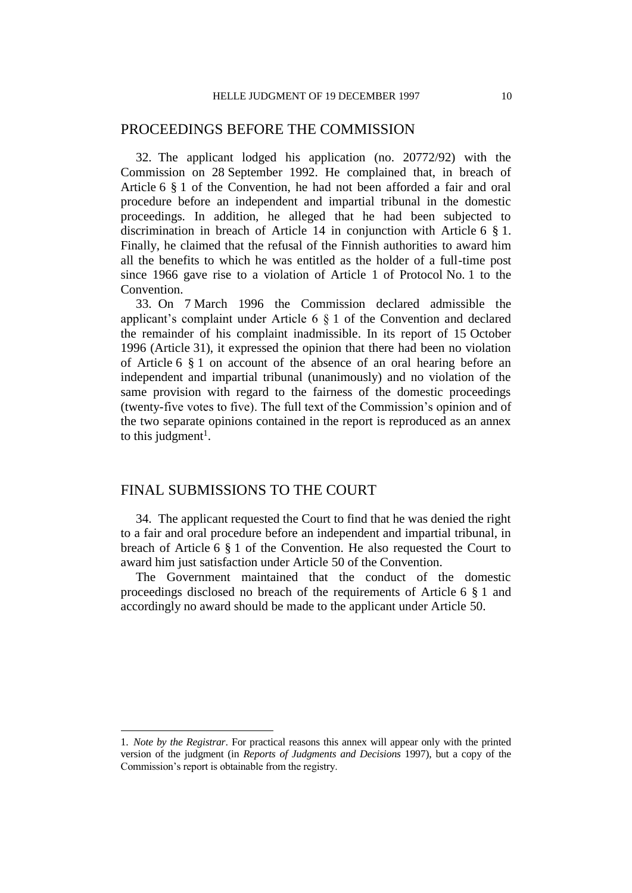# PROCEEDINGS BEFORE THE COMMISSION

32. The applicant lodged his application (no. 20772/92) with the Commission on 28 September 1992. He complained that, in breach of Article 6 § 1 of the Convention, he had not been afforded a fair and oral procedure before an independent and impartial tribunal in the domestic proceedings. In addition, he alleged that he had been subjected to discrimination in breach of Article 14 in conjunction with Article 6 § 1. Finally, he claimed that the refusal of the Finnish authorities to award him all the benefits to which he was entitled as the holder of a full-time post since 1966 gave rise to a violation of Article 1 of Protocol No. 1 to the Convention.

33. On 7 March 1996 the Commission declared admissible the applicant's complaint under Article 6 § 1 of the Convention and declared the remainder of his complaint inadmissible. In its report of 15 October 1996 (Article 31), it expressed the opinion that there had been no violation of Article 6 § 1 on account of the absence of an oral hearing before an independent and impartial tribunal (unanimously) and no violation of the same provision with regard to the fairness of the domestic proceedings (twenty-five votes to five). The full text of the Commission's opinion and of the two separate opinions contained in the report is reproduced as an annex to this judgment<sup>1</sup>.

# FINAL SUBMISSIONS TO THE COURT

 $\overline{a}$ 

34. The applicant requested the Court to find that he was denied the right to a fair and oral procedure before an independent and impartial tribunal, in breach of Article 6 § 1 of the Convention. He also requested the Court to award him just satisfaction under Article 50 of the Convention.

The Government maintained that the conduct of the domestic proceedings disclosed no breach of the requirements of Article 6 § 1 and accordingly no award should be made to the applicant under Article 50.

<sup>1.</sup> *Note by the Registrar*. For practical reasons this annex will appear only with the printed version of the judgment (in *Reports of Judgments and Decisions* 1997), but a copy of the Commission's report is obtainable from the registry.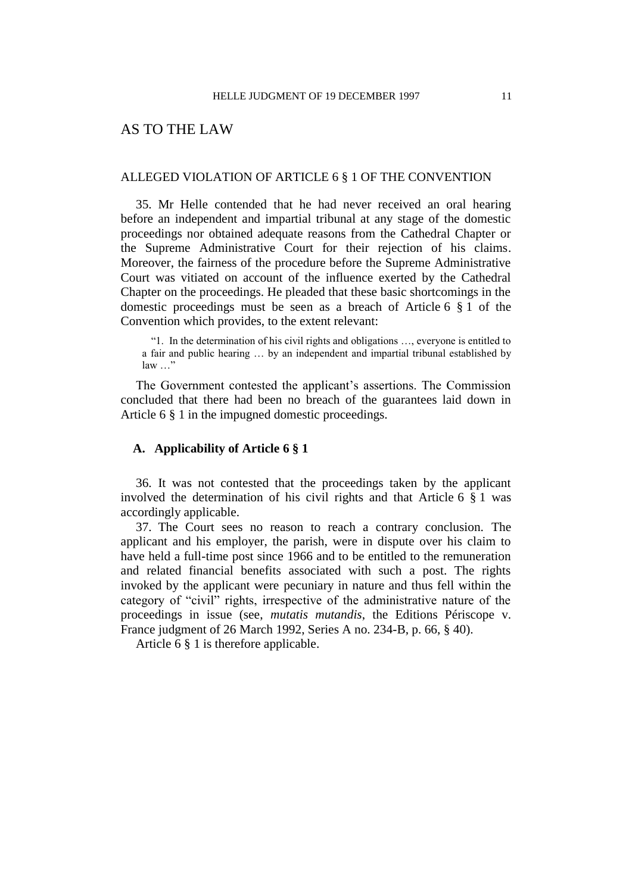# AS TO THE LAW

### ALLEGED VIOLATION OF ARTICLE 6 § 1 OF THE CONVENTION

35. Mr Helle contended that he had never received an oral hearing before an independent and impartial tribunal at any stage of the domestic proceedings nor obtained adequate reasons from the Cathedral Chapter or the Supreme Administrative Court for their rejection of his claims. Moreover, the fairness of the procedure before the Supreme Administrative Court was vitiated on account of the influence exerted by the Cathedral Chapter on the proceedings. He pleaded that these basic shortcomings in the domestic proceedings must be seen as a breach of Article 6 § 1 of the Convention which provides, to the extent relevant:

"1. In the determination of his civil rights and obligations …, everyone is entitled to a fair and public hearing … by an independent and impartial tribunal established by law …"

The Government contested the applicant's assertions. The Commission concluded that there had been no breach of the guarantees laid down in Article 6 § 1 in the impugned domestic proceedings.

# **A. Applicability of Article 6 § 1**

36. It was not contested that the proceedings taken by the applicant involved the determination of his civil rights and that Article 6 § 1 was accordingly applicable.

37. The Court sees no reason to reach a contrary conclusion. The applicant and his employer, the parish, were in dispute over his claim to have held a full-time post since 1966 and to be entitled to the remuneration and related financial benefits associated with such a post. The rights invoked by the applicant were pecuniary in nature and thus fell within the category of "civil" rights, irrespective of the administrative nature of the proceedings in issue (see, *mutatis mutandis*, the Editions Périscope v. France judgment of 26 March 1992, Series A no. 234-B, p. 66, § 40).

Article 6 § 1 is therefore applicable.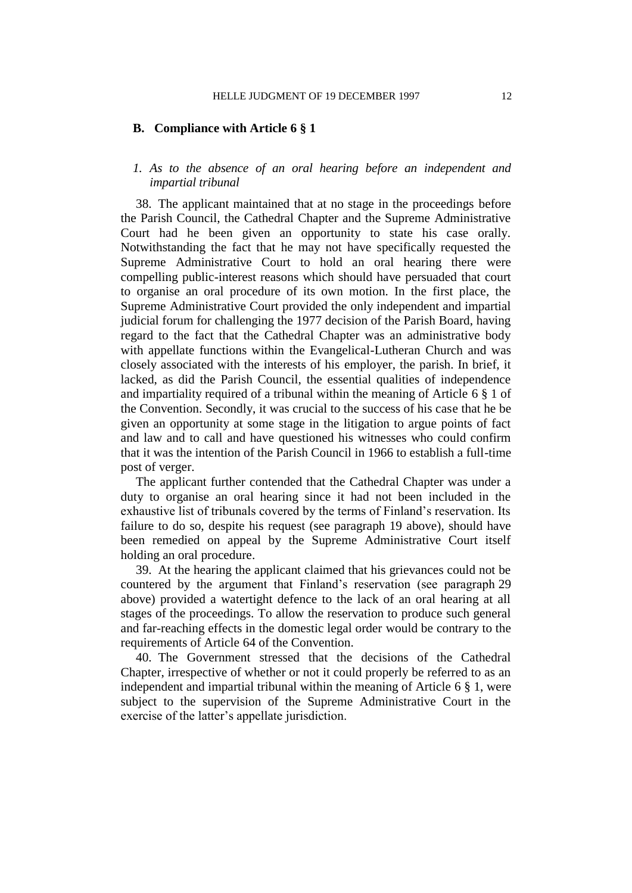### **B. Compliance with Article 6 § 1**

# *1. As to the absence of an oral hearing before an independent and impartial tribunal*

38. The applicant maintained that at no stage in the proceedings before the Parish Council, the Cathedral Chapter and the Supreme Administrative Court had he been given an opportunity to state his case orally. Notwithstanding the fact that he may not have specifically requested the Supreme Administrative Court to hold an oral hearing there were compelling public-interest reasons which should have persuaded that court to organise an oral procedure of its own motion. In the first place, the Supreme Administrative Court provided the only independent and impartial judicial forum for challenging the 1977 decision of the Parish Board, having regard to the fact that the Cathedral Chapter was an administrative body with appellate functions within the Evangelical-Lutheran Church and was closely associated with the interests of his employer, the parish. In brief, it lacked, as did the Parish Council, the essential qualities of independence and impartiality required of a tribunal within the meaning of Article 6 § 1 of the Convention. Secondly, it was crucial to the success of his case that he be given an opportunity at some stage in the litigation to argue points of fact and law and to call and have questioned his witnesses who could confirm that it was the intention of the Parish Council in 1966 to establish a full-time post of verger.

The applicant further contended that the Cathedral Chapter was under a duty to organise an oral hearing since it had not been included in the exhaustive list of tribunals covered by the terms of Finland's reservation. Its failure to do so, despite his request (see paragraph 19 above), should have been remedied on appeal by the Supreme Administrative Court itself holding an oral procedure.

39. At the hearing the applicant claimed that his grievances could not be countered by the argument that Finland's reservation (see paragraph 29 above) provided a watertight defence to the lack of an oral hearing at all stages of the proceedings. To allow the reservation to produce such general and far-reaching effects in the domestic legal order would be contrary to the requirements of Article 64 of the Convention.

40. The Government stressed that the decisions of the Cathedral Chapter, irrespective of whether or not it could properly be referred to as an independent and impartial tribunal within the meaning of Article 6 § 1, were subject to the supervision of the Supreme Administrative Court in the exercise of the latter's appellate jurisdiction.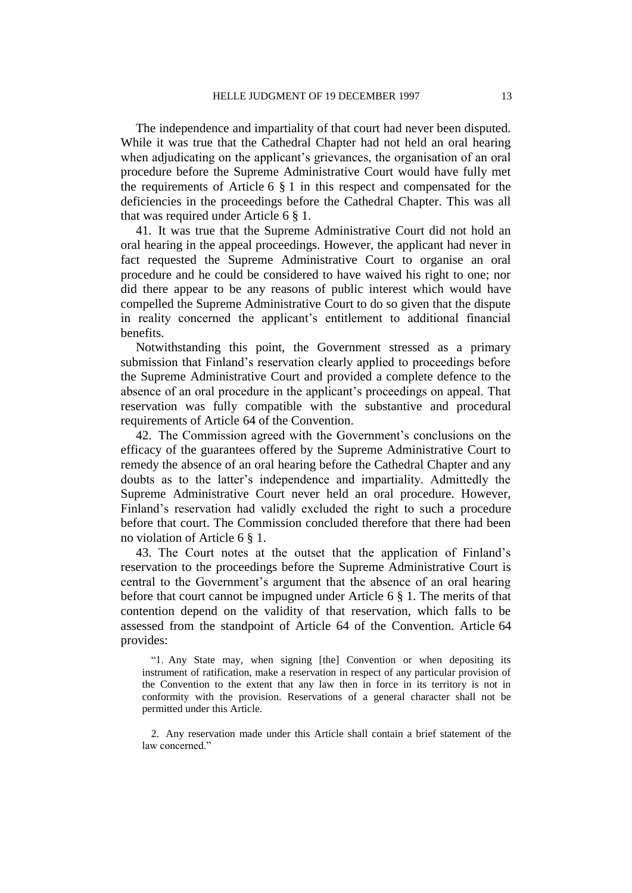The independence and impartiality of that court had never been disputed. While it was true that the Cathedral Chapter had not held an oral hearing when adjudicating on the applicant's grievances, the organisation of an oral procedure before the Supreme Administrative Court would have fully met the requirements of Article 6 § 1 in this respect and compensated for the deficiencies in the proceedings before the Cathedral Chapter. This was all that was required under Article 6 § 1.

41. It was true that the Supreme Administrative Court did not hold an oral hearing in the appeal proceedings. However, the applicant had never in fact requested the Supreme Administrative Court to organise an oral procedure and he could be considered to have waived his right to one; nor did there appear to be any reasons of public interest which would have compelled the Supreme Administrative Court to do so given that the dispute in reality concerned the applicant's entitlement to additional financial benefits.

Notwithstanding this point, the Government stressed as a primary submission that Finland's reservation clearly applied to proceedings before the Supreme Administrative Court and provided a complete defence to the absence of an oral procedure in the applicant's proceedings on appeal. That reservation was fully compatible with the substantive and procedural requirements of Article 64 of the Convention.

42. The Commission agreed with the Government's conclusions on the efficacy of the guarantees offered by the Supreme Administrative Court to remedy the absence of an oral hearing before the Cathedral Chapter and any doubts as to the latter's independence and impartiality. Admittedly the Supreme Administrative Court never held an oral procedure. However, Finland's reservation had validly excluded the right to such a procedure before that court. The Commission concluded therefore that there had been no violation of Article 6 § 1.

43. The Court notes at the outset that the application of Finland's reservation to the proceedings before the Supreme Administrative Court is central to the Government's argument that the absence of an oral hearing before that court cannot be impugned under Article 6 § 1. The merits of that contention depend on the validity of that reservation, which falls to be assessed from the standpoint of Article 64 of the Convention. Article 64 provides:

"1. Any State may, when signing [the] Convention or when depositing its instrument of ratification, make a reservation in respect of any particular provision of the Convention to the extent that any law then in force in its territory is not in conformity with the provision. Reservations of a general character shall not be permitted under this Article.

2. Any reservation made under this Article shall contain a brief statement of the law concerned."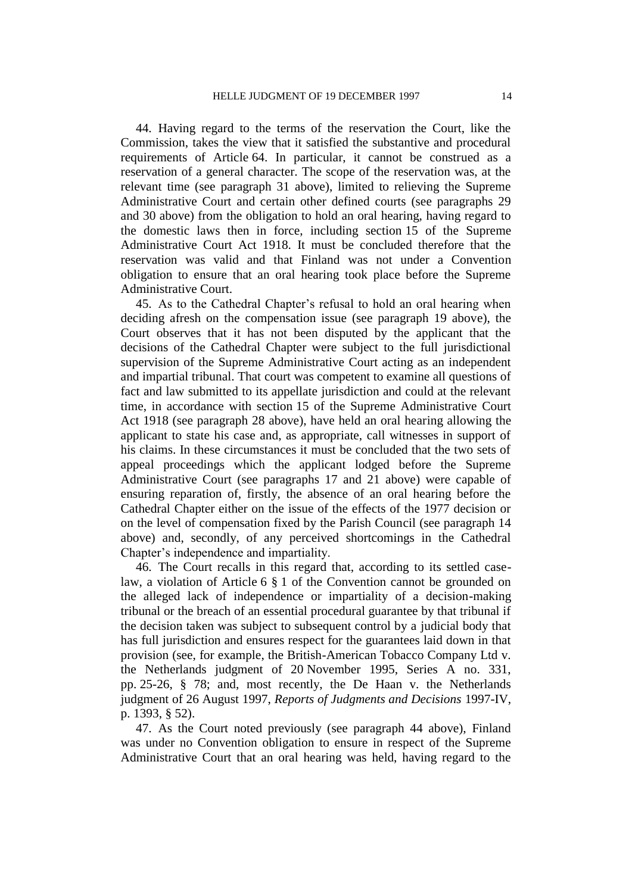44. Having regard to the terms of the reservation the Court, like the Commission, takes the view that it satisfied the substantive and procedural requirements of Article 64. In particular, it cannot be construed as a reservation of a general character. The scope of the reservation was, at the relevant time (see paragraph 31 above), limited to relieving the Supreme Administrative Court and certain other defined courts (see paragraphs 29 and 30 above) from the obligation to hold an oral hearing, having regard to the domestic laws then in force, including section 15 of the Supreme Administrative Court Act 1918. It must be concluded therefore that the reservation was valid and that Finland was not under a Convention obligation to ensure that an oral hearing took place before the Supreme Administrative Court.

45. As to the Cathedral Chapter's refusal to hold an oral hearing when deciding afresh on the compensation issue (see paragraph 19 above), the Court observes that it has not been disputed by the applicant that the decisions of the Cathedral Chapter were subject to the full jurisdictional supervision of the Supreme Administrative Court acting as an independent and impartial tribunal. That court was competent to examine all questions of fact and law submitted to its appellate jurisdiction and could at the relevant time, in accordance with section 15 of the Supreme Administrative Court Act 1918 (see paragraph 28 above), have held an oral hearing allowing the applicant to state his case and, as appropriate, call witnesses in support of his claims. In these circumstances it must be concluded that the two sets of appeal proceedings which the applicant lodged before the Supreme Administrative Court (see paragraphs 17 and 21 above) were capable of ensuring reparation of, firstly, the absence of an oral hearing before the Cathedral Chapter either on the issue of the effects of the 1977 decision or on the level of compensation fixed by the Parish Council (see paragraph 14 above) and, secondly, of any perceived shortcomings in the Cathedral Chapter's independence and impartiality.

46. The Court recalls in this regard that, according to its settled caselaw, a violation of Article 6 § 1 of the Convention cannot be grounded on the alleged lack of independence or impartiality of a decision-making tribunal or the breach of an essential procedural guarantee by that tribunal if the decision taken was subject to subsequent control by a judicial body that has full jurisdiction and ensures respect for the guarantees laid down in that provision (see, for example, the British-American Tobacco Company Ltd v. the Netherlands judgment of 20 November 1995, Series A no. 331, pp. 25-26, § 78; and, most recently, the De Haan v. the Netherlands judgment of 26 August 1997, *Reports of Judgments and Decisions* 1997-IV, p. 1393, § 52).

47. As the Court noted previously (see paragraph 44 above), Finland was under no Convention obligation to ensure in respect of the Supreme Administrative Court that an oral hearing was held, having regard to the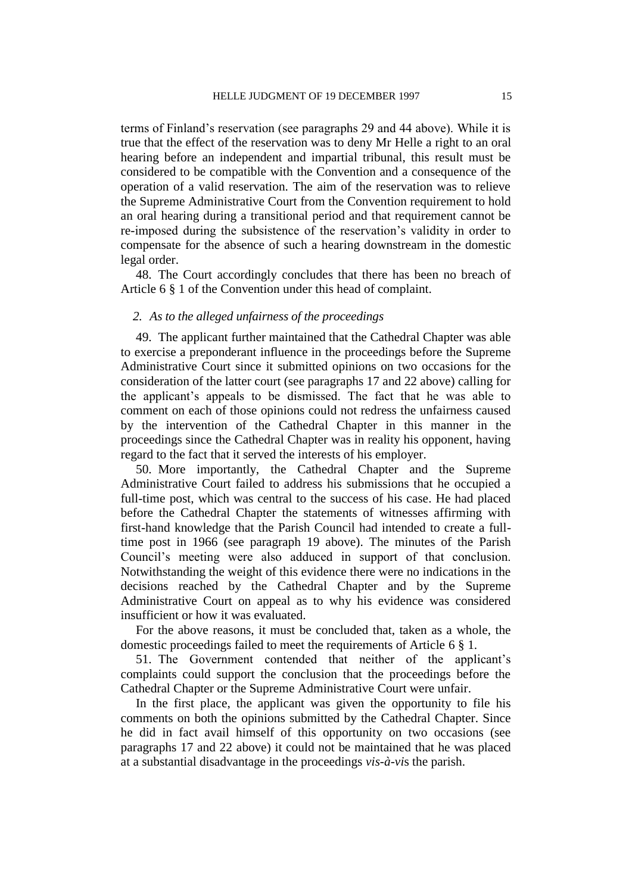terms of Finland's reservation (see paragraphs 29 and 44 above). While it is true that the effect of the reservation was to deny Mr Helle a right to an oral hearing before an independent and impartial tribunal, this result must be considered to be compatible with the Convention and a consequence of the operation of a valid reservation. The aim of the reservation was to relieve the Supreme Administrative Court from the Convention requirement to hold an oral hearing during a transitional period and that requirement cannot be re-imposed during the subsistence of the reservation's validity in order to compensate for the absence of such a hearing downstream in the domestic legal order.

48. The Court accordingly concludes that there has been no breach of Article 6 § 1 of the Convention under this head of complaint.

### *2. As to the alleged unfairness of the proceedings*

49. The applicant further maintained that the Cathedral Chapter was able to exercise a preponderant influence in the proceedings before the Supreme Administrative Court since it submitted opinions on two occasions for the consideration of the latter court (see paragraphs 17 and 22 above) calling for the applicant's appeals to be dismissed. The fact that he was able to comment on each of those opinions could not redress the unfairness caused by the intervention of the Cathedral Chapter in this manner in the proceedings since the Cathedral Chapter was in reality his opponent, having regard to the fact that it served the interests of his employer.

50. More importantly, the Cathedral Chapter and the Supreme Administrative Court failed to address his submissions that he occupied a full-time post, which was central to the success of his case. He had placed before the Cathedral Chapter the statements of witnesses affirming with first-hand knowledge that the Parish Council had intended to create a fulltime post in 1966 (see paragraph 19 above). The minutes of the Parish Council's meeting were also adduced in support of that conclusion. Notwithstanding the weight of this evidence there were no indications in the decisions reached by the Cathedral Chapter and by the Supreme Administrative Court on appeal as to why his evidence was considered insufficient or how it was evaluated.

For the above reasons, it must be concluded that, taken as a whole, the domestic proceedings failed to meet the requirements of Article 6 § 1.

51. The Government contended that neither of the applicant's complaints could support the conclusion that the proceedings before the Cathedral Chapter or the Supreme Administrative Court were unfair.

In the first place, the applicant was given the opportunity to file his comments on both the opinions submitted by the Cathedral Chapter. Since he did in fact avail himself of this opportunity on two occasions (see paragraphs 17 and 22 above) it could not be maintained that he was placed at a substantial disadvantage in the proceedings *vis-à-vi*s the parish.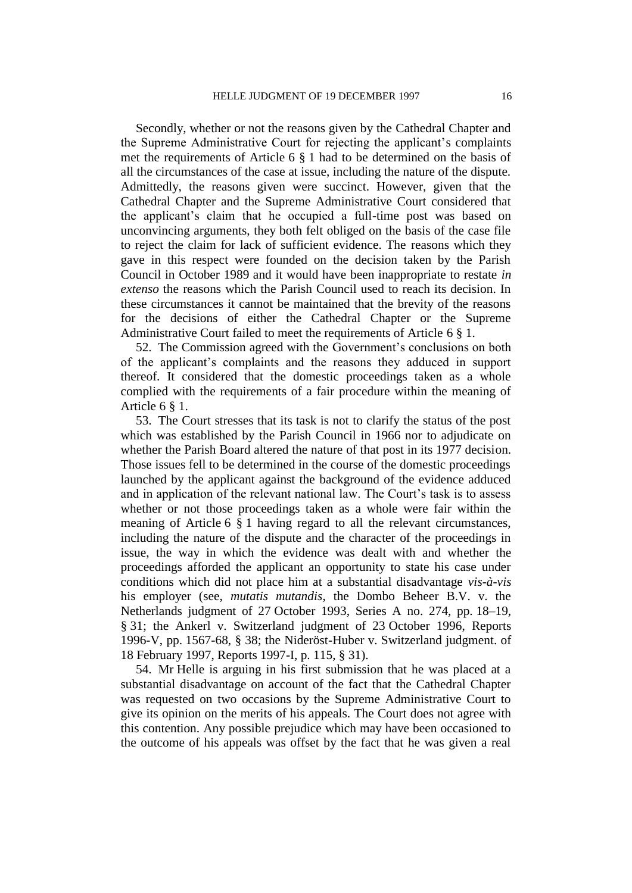Secondly, whether or not the reasons given by the Cathedral Chapter and the Supreme Administrative Court for rejecting the applicant's complaints met the requirements of Article 6 § 1 had to be determined on the basis of all the circumstances of the case at issue, including the nature of the dispute. Admittedly, the reasons given were succinct. However, given that the Cathedral Chapter and the Supreme Administrative Court considered that the applicant's claim that he occupied a full-time post was based on unconvincing arguments, they both felt obliged on the basis of the case file to reject the claim for lack of sufficient evidence. The reasons which they gave in this respect were founded on the decision taken by the Parish Council in October 1989 and it would have been inappropriate to restate *in extenso* the reasons which the Parish Council used to reach its decision. In these circumstances it cannot be maintained that the brevity of the reasons for the decisions of either the Cathedral Chapter or the Supreme Administrative Court failed to meet the requirements of Article 6 § 1.

52. The Commission agreed with the Government's conclusions on both of the applicant's complaints and the reasons they adduced in support thereof. It considered that the domestic proceedings taken as a whole complied with the requirements of a fair procedure within the meaning of Article 6 § 1.

53. The Court stresses that its task is not to clarify the status of the post which was established by the Parish Council in 1966 nor to adjudicate on whether the Parish Board altered the nature of that post in its 1977 decision. Those issues fell to be determined in the course of the domestic proceedings launched by the applicant against the background of the evidence adduced and in application of the relevant national law. The Court's task is to assess whether or not those proceedings taken as a whole were fair within the meaning of Article 6 § 1 having regard to all the relevant circumstances, including the nature of the dispute and the character of the proceedings in issue, the way in which the evidence was dealt with and whether the proceedings afforded the applicant an opportunity to state his case under conditions which did not place him at a substantial disadvantage *vis-à-vis* his employer (see, *mutatis mutandis*, the Dombo Beheer B.V. v. the Netherlands judgment of 27 October 1993, Series A no. 274, pp. 18–19, § 31; the Ankerl v. Switzerland judgment of 23 October 1996, Reports 1996-V, pp. 1567-68, § 38; the Nideröst-Huber v. Switzerland judgment. of 18 February 1997, Reports 1997-I, p. 115, § 31).

54. Mr Helle is arguing in his first submission that he was placed at a substantial disadvantage on account of the fact that the Cathedral Chapter was requested on two occasions by the Supreme Administrative Court to give its opinion on the merits of his appeals. The Court does not agree with this contention. Any possible prejudice which may have been occasioned to the outcome of his appeals was offset by the fact that he was given a real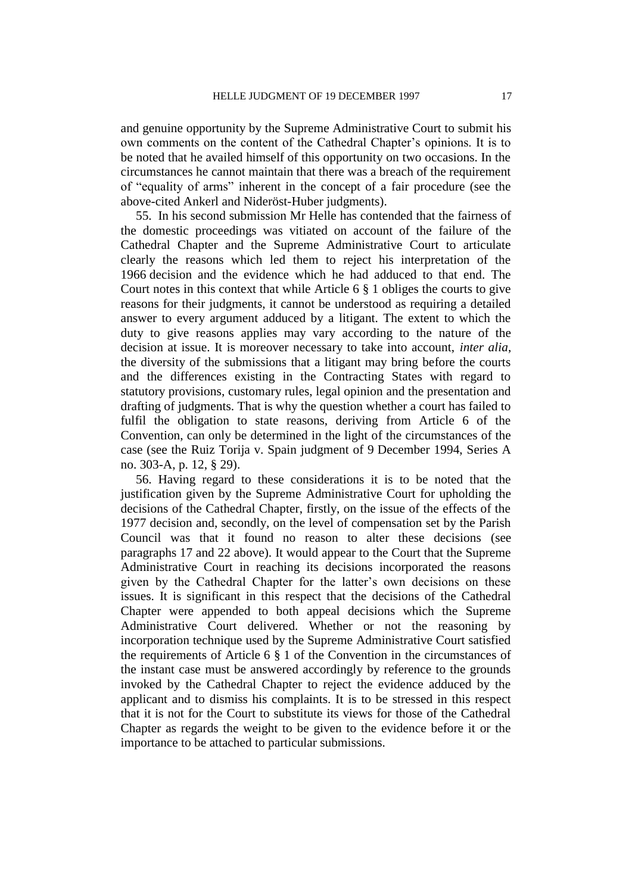and genuine opportunity by the Supreme Administrative Court to submit his own comments on the content of the Cathedral Chapter's opinions. It is to be noted that he availed himself of this opportunity on two occasions. In the circumstances he cannot maintain that there was a breach of the requirement of "equality of arms" inherent in the concept of a fair procedure (see the above-cited Ankerl and Nideröst-Huber judgments).

55. In his second submission Mr Helle has contended that the fairness of the domestic proceedings was vitiated on account of the failure of the Cathedral Chapter and the Supreme Administrative Court to articulate clearly the reasons which led them to reject his interpretation of the 1966 decision and the evidence which he had adduced to that end. The Court notes in this context that while Article 6 § 1 obliges the courts to give reasons for their judgments, it cannot be understood as requiring a detailed answer to every argument adduced by a litigant. The extent to which the duty to give reasons applies may vary according to the nature of the decision at issue. It is moreover necessary to take into account, *inter alia*, the diversity of the submissions that a litigant may bring before the courts and the differences existing in the Contracting States with regard to statutory provisions, customary rules, legal opinion and the presentation and drafting of judgments. That is why the question whether a court has failed to fulfil the obligation to state reasons, deriving from Article 6 of the Convention, can only be determined in the light of the circumstances of the case (see the Ruiz Torija v. Spain judgment of 9 December 1994, Series A no. 303-A, p. 12, § 29).

56. Having regard to these considerations it is to be noted that the justification given by the Supreme Administrative Court for upholding the decisions of the Cathedral Chapter, firstly, on the issue of the effects of the 1977 decision and, secondly, on the level of compensation set by the Parish Council was that it found no reason to alter these decisions (see paragraphs 17 and 22 above). It would appear to the Court that the Supreme Administrative Court in reaching its decisions incorporated the reasons given by the Cathedral Chapter for the latter's own decisions on these issues. It is significant in this respect that the decisions of the Cathedral Chapter were appended to both appeal decisions which the Supreme Administrative Court delivered. Whether or not the reasoning by incorporation technique used by the Supreme Administrative Court satisfied the requirements of Article 6 § 1 of the Convention in the circumstances of the instant case must be answered accordingly by reference to the grounds invoked by the Cathedral Chapter to reject the evidence adduced by the applicant and to dismiss his complaints. It is to be stressed in this respect that it is not for the Court to substitute its views for those of the Cathedral Chapter as regards the weight to be given to the evidence before it or the importance to be attached to particular submissions.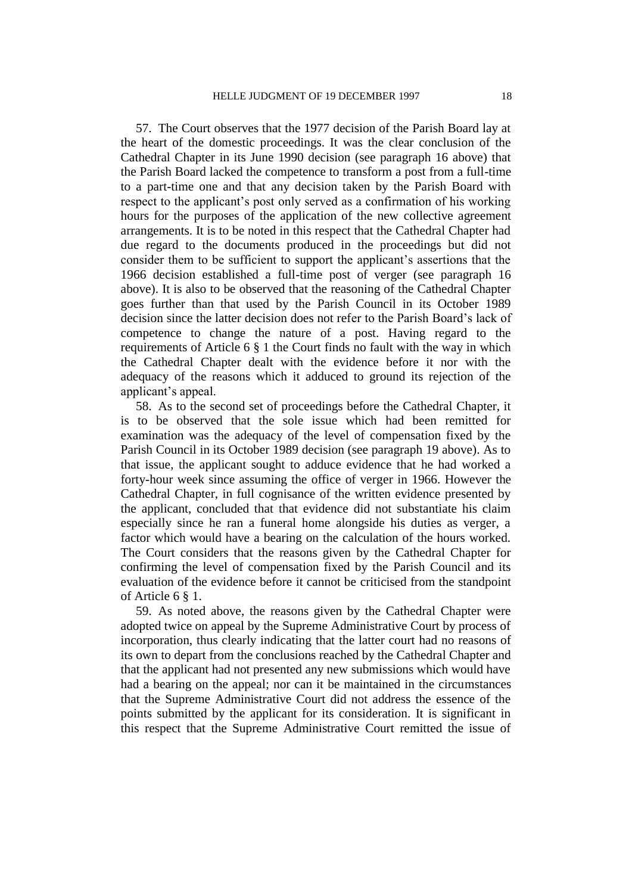57. The Court observes that the 1977 decision of the Parish Board lay at the heart of the domestic proceedings. It was the clear conclusion of the Cathedral Chapter in its June 1990 decision (see paragraph 16 above) that the Parish Board lacked the competence to transform a post from a full-time to a part-time one and that any decision taken by the Parish Board with respect to the applicant's post only served as a confirmation of his working hours for the purposes of the application of the new collective agreement arrangements. It is to be noted in this respect that the Cathedral Chapter had due regard to the documents produced in the proceedings but did not consider them to be sufficient to support the applicant's assertions that the 1966 decision established a full-time post of verger (see paragraph 16 above). It is also to be observed that the reasoning of the Cathedral Chapter goes further than that used by the Parish Council in its October 1989 decision since the latter decision does not refer to the Parish Board's lack of competence to change the nature of a post. Having regard to the requirements of Article 6 § 1 the Court finds no fault with the way in which the Cathedral Chapter dealt with the evidence before it nor with the adequacy of the reasons which it adduced to ground its rejection of the applicant's appeal.

58. As to the second set of proceedings before the Cathedral Chapter, it is to be observed that the sole issue which had been remitted for examination was the adequacy of the level of compensation fixed by the Parish Council in its October 1989 decision (see paragraph 19 above). As to that issue, the applicant sought to adduce evidence that he had worked a forty-hour week since assuming the office of verger in 1966. However the Cathedral Chapter, in full cognisance of the written evidence presented by the applicant, concluded that that evidence did not substantiate his claim especially since he ran a funeral home alongside his duties as verger, a factor which would have a bearing on the calculation of the hours worked. The Court considers that the reasons given by the Cathedral Chapter for confirming the level of compensation fixed by the Parish Council and its evaluation of the evidence before it cannot be criticised from the standpoint of Article 6 § 1.

59. As noted above, the reasons given by the Cathedral Chapter were adopted twice on appeal by the Supreme Administrative Court by process of incorporation, thus clearly indicating that the latter court had no reasons of its own to depart from the conclusions reached by the Cathedral Chapter and that the applicant had not presented any new submissions which would have had a bearing on the appeal; nor can it be maintained in the circumstances that the Supreme Administrative Court did not address the essence of the points submitted by the applicant for its consideration. It is significant in this respect that the Supreme Administrative Court remitted the issue of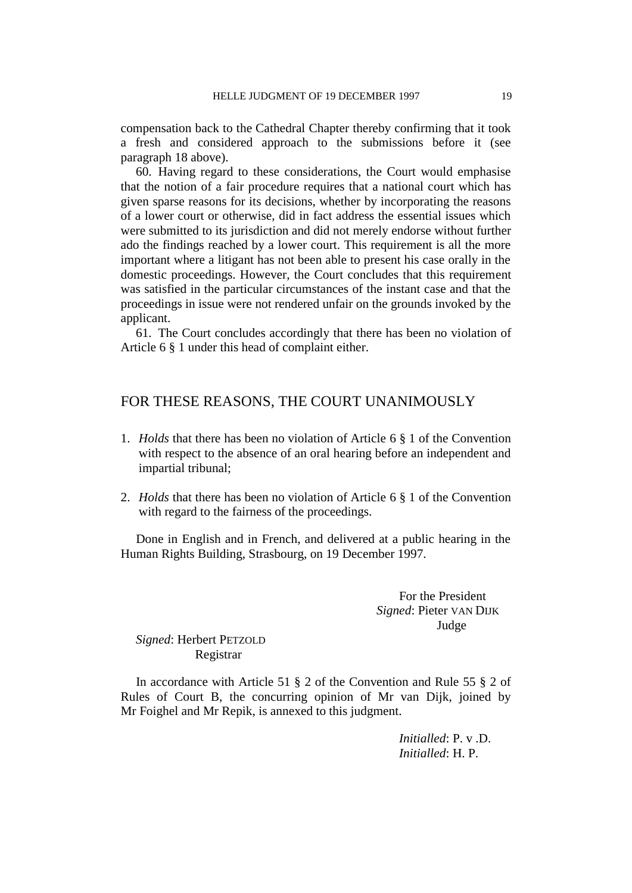compensation back to the Cathedral Chapter thereby confirming that it took a fresh and considered approach to the submissions before it (see paragraph 18 above).

60. Having regard to these considerations, the Court would emphasise that the notion of a fair procedure requires that a national court which has given sparse reasons for its decisions, whether by incorporating the reasons of a lower court or otherwise, did in fact address the essential issues which were submitted to its jurisdiction and did not merely endorse without further ado the findings reached by a lower court. This requirement is all the more important where a litigant has not been able to present his case orally in the domestic proceedings. However, the Court concludes that this requirement was satisfied in the particular circumstances of the instant case and that the proceedings in issue were not rendered unfair on the grounds invoked by the applicant.

61. The Court concludes accordingly that there has been no violation of Article 6 § 1 under this head of complaint either.

# FOR THESE REASONS, THE COURT UNANIMOUSLY

- 1. *Holds* that there has been no violation of Article 6 § 1 of the Convention with respect to the absence of an oral hearing before an independent and impartial tribunal;
- 2. *Holds* that there has been no violation of Article 6 § 1 of the Convention with regard to the fairness of the proceedings.

Done in English and in French, and delivered at a public hearing in the Human Rights Building, Strasbourg, on 19 December 1997.

> For the President *Signed*: Pieter VAN DIJK Judge

# *Signed*: Herbert PETZOLD Registrar

In accordance with Article 51 § 2 of the Convention and Rule 55 § 2 of Rules of Court B, the concurring opinion of Mr van Dijk, joined by Mr Foighel and Mr Repik, is annexed to this judgment.

> *Initialled*: P. v .D. *Initialled*: H. P.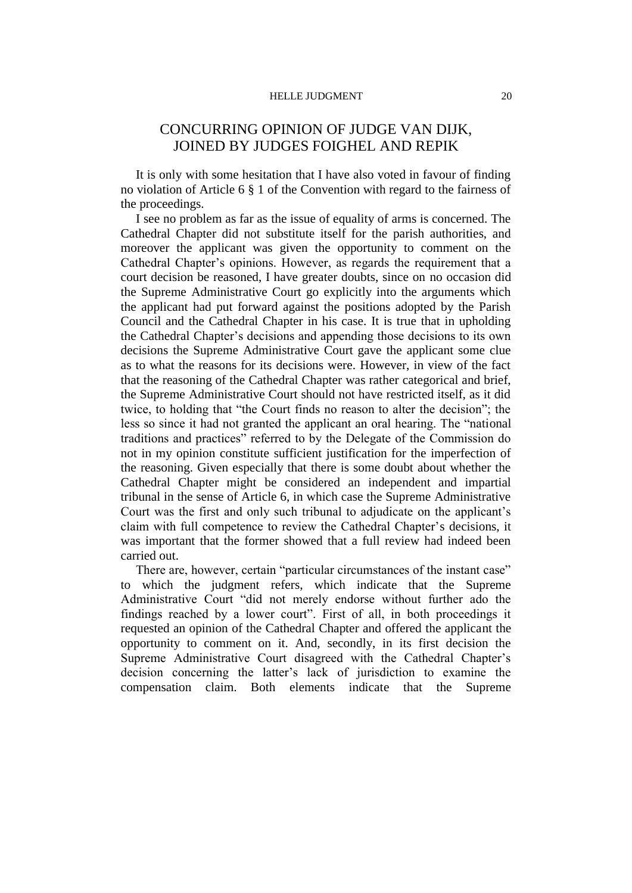#### HELLE JUDGMENT 20

# CONCURRING OPINION OF JUDGE VAN DIJK, JOINED BY JUDGES FOIGHEL AND REPIK

It is only with some hesitation that I have also voted in favour of finding no violation of Article 6 § 1 of the Convention with regard to the fairness of the proceedings.

I see no problem as far as the issue of equality of arms is concerned. The Cathedral Chapter did not substitute itself for the parish authorities, and moreover the applicant was given the opportunity to comment on the Cathedral Chapter's opinions. However, as regards the requirement that a court decision be reasoned, I have greater doubts, since on no occasion did the Supreme Administrative Court go explicitly into the arguments which the applicant had put forward against the positions adopted by the Parish Council and the Cathedral Chapter in his case. It is true that in upholding the Cathedral Chapter's decisions and appending those decisions to its own decisions the Supreme Administrative Court gave the applicant some clue as to what the reasons for its decisions were. However, in view of the fact that the reasoning of the Cathedral Chapter was rather categorical and brief, the Supreme Administrative Court should not have restricted itself, as it did twice, to holding that "the Court finds no reason to alter the decision"; the less so since it had not granted the applicant an oral hearing. The "national traditions and practices" referred to by the Delegate of the Commission do not in my opinion constitute sufficient justification for the imperfection of the reasoning. Given especially that there is some doubt about whether the Cathedral Chapter might be considered an independent and impartial tribunal in the sense of Article 6, in which case the Supreme Administrative Court was the first and only such tribunal to adjudicate on the applicant's claim with full competence to review the Cathedral Chapter's decisions, it was important that the former showed that a full review had indeed been carried out.

There are, however, certain "particular circumstances of the instant case" to which the judgment refers, which indicate that the Supreme Administrative Court "did not merely endorse without further ado the findings reached by a lower court". First of all, in both proceedings it requested an opinion of the Cathedral Chapter and offered the applicant the opportunity to comment on it. And, secondly, in its first decision the Supreme Administrative Court disagreed with the Cathedral Chapter's decision concerning the latter's lack of jurisdiction to examine the compensation claim. Both elements indicate that the Supreme